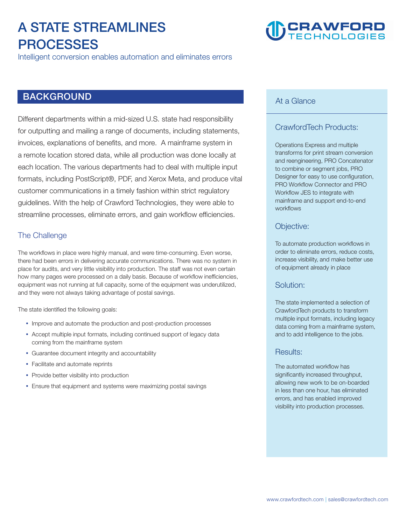# **A STATE STREAMLINES PROCESSES**

**Intelligent conversion enables automation and eliminates errors**

# **BACKGROUND**

**Different departments within a mid-sized U.S. state had responsibility for outputting and mailing a range of documents, including statements, invoices, explanations of benefits, and more. A mainframe system in a remote location stored data, while all production was done locally at each location. The various departments had to deal with multiple input formats, including PostScript®, PDF, and Xerox Meta, and produce vital customer communications in a timely fashion within strict regulatory guidelines. With the help of Crawford Technologies, they were able to streamline processes, eliminate errors, and gain workflow efficiencies.** 

### **The Challenge**

**The workflows in place were highly manual, and were time-consuming. Even worse, there had been errors in delivering accurate communications. There was no system in place for audits, and very little visibility into production. The staff was not even certain how many pages were processed on a daily basis. Because of workflow inefficiencies, equipment was not running at full capacity, some of the equipment was underutilized, and they were not always taking advantage of postal savings.** 

**The state identified the following goals:** 

- **Improve and automate the production and post-production processes**
- Accept multiple input formats, including continued support of legacy data **coming from the mainframe system**
- y **Guarantee document integrity and accountability**
- **Facilitate and automate reprints**
- **Provide better visibility into production**
- **Ensure that equipment and systems were maximizing postal savings**

# **CRAWFORD**

#### **At a Glance**

## **CrawfordTech Products:**

**Operations Express and multiple transforms for print stream conversion and reengineering, PRO Concatenator to combine or segment jobs, PRO Designer for easy to use configuration, PRO Workflow Connector and PRO Workflow JES to integrate with mainframe and support end-to-end workflows** 

#### **Objective:**

**To automate production workflows in order to eliminate errors, reduce costs, increase visibility, and make better use of equipment already in place** 

#### **Solution:**

**The state implemented a selection of CrawfordTech products to transform multiple input formats, including legacy data coming from a mainframe system, and to add intelligence to the jobs.** 

#### **Results:**

**The automated workflow has significantly increased throughput, allowing new work to be on-boarded in less than one hour, has eliminated errors, and has enabled improved visibility into production processes.**